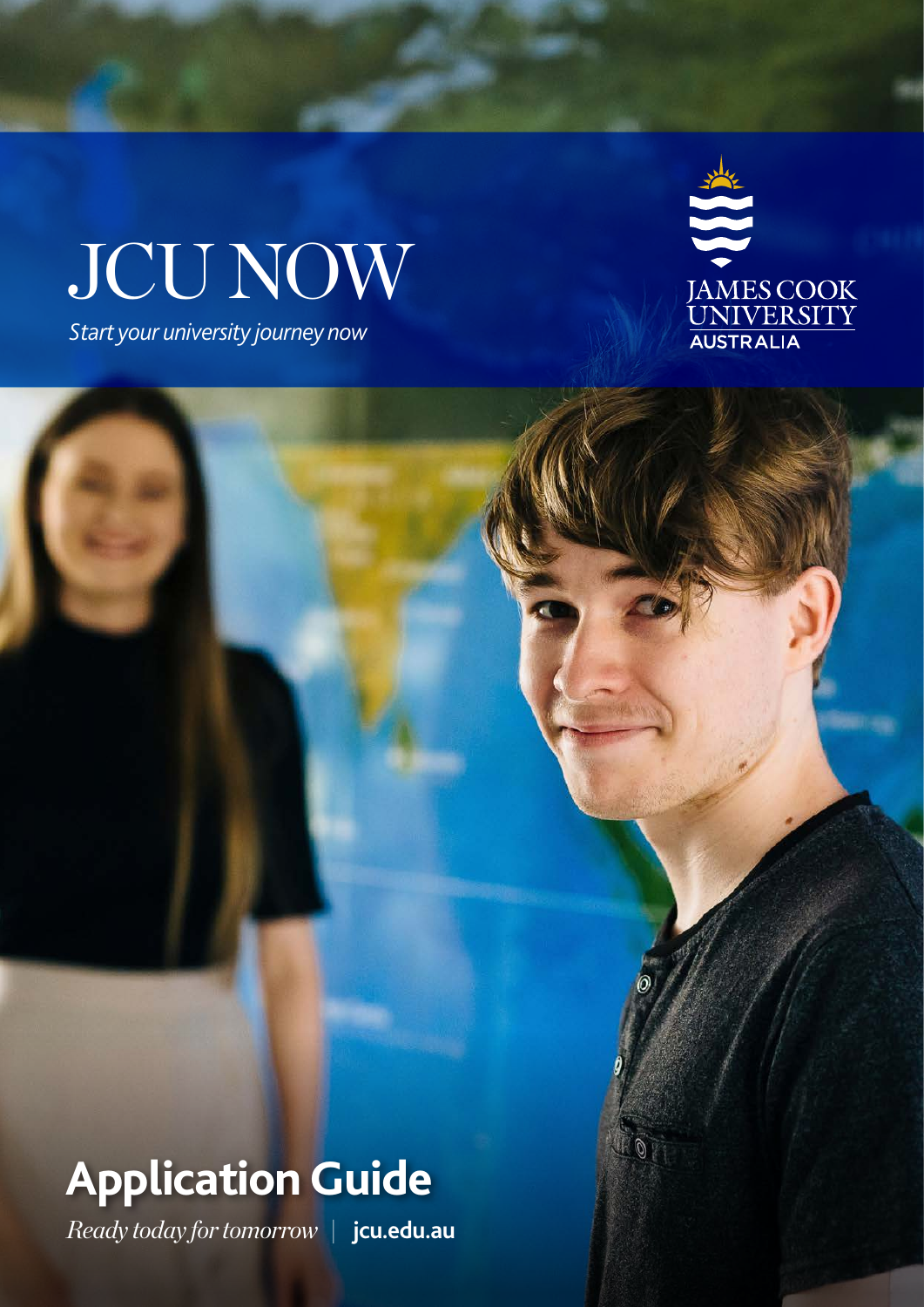# JCU NOW

*Start your university journey now*



### **Application Guide**

*Ready today for tomorrow |* **[jcu.edu.au](http://jcu.edu.au)**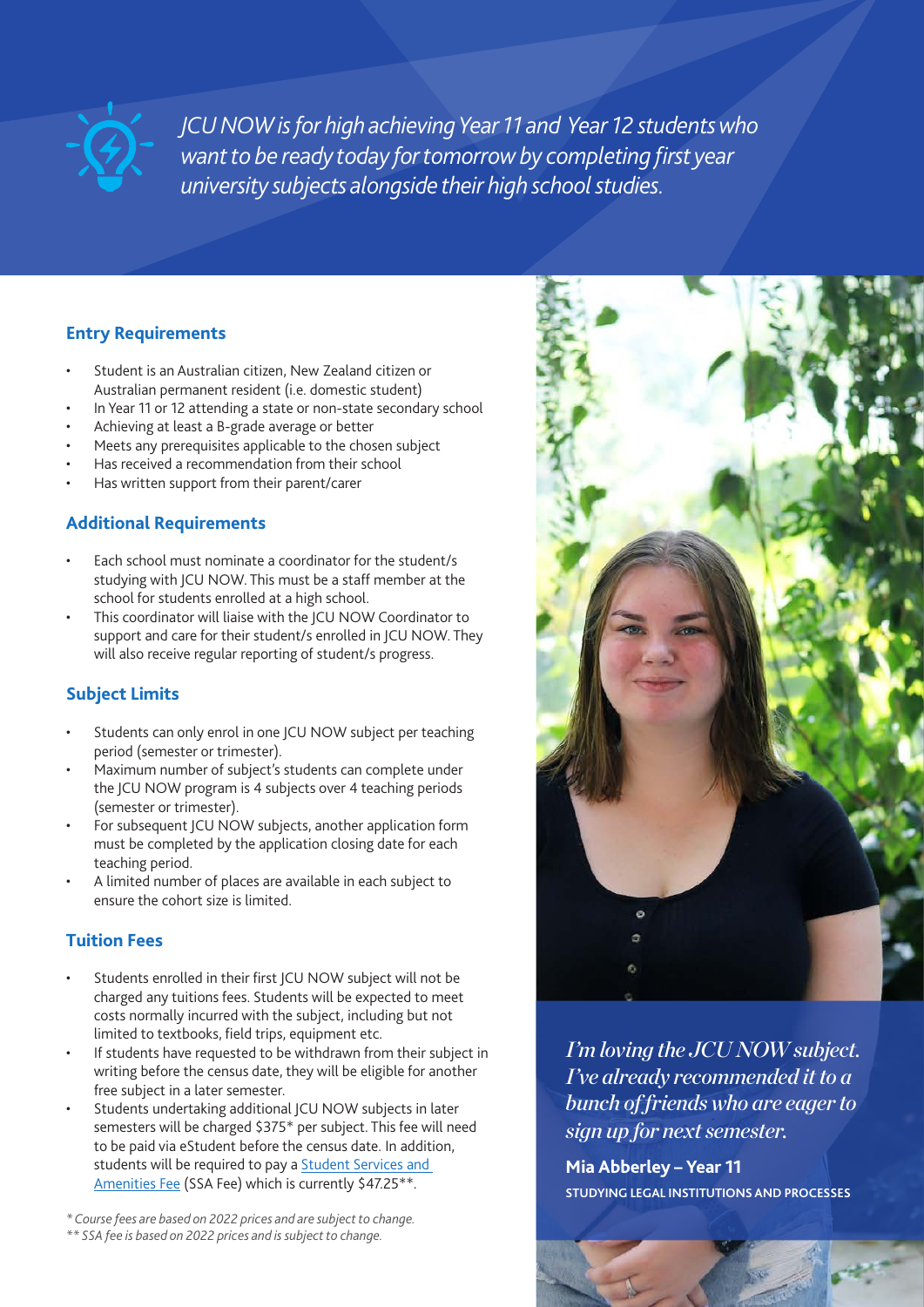

*JCU NOW is for high achieving Year 11 and Year 12 students who want to be ready today for tomorrow by completing first year university subjects alongside their high school studies.*

#### **Entry Requirements**

- Student is an Australian citizen, New Zealand citizen or Australian permanent resident (i.e. domestic student)
- In Year 11 or 12 attending a state or non-state secondary school
- Achieving at least a B-grade average or better
- Meets any prerequisites applicable to the chosen subject
- Has received a recommendation from their school
- Has written support from their parent/carer

#### **Additional Requirements**

- Each school must nominate a coordinator for the student/s studying with JCU NOW. This must be a staff member at the school for students enrolled at a high school.
- This coordinator will liaise with the JCU NOW Coordinator to support and care for their student/s enrolled in JCU NOW. They will also receive regular reporting of student/s progress.

#### **Subject Limits**

- Students can only enrol in one JCU NOW subject per teaching period (semester or trimester).
- Maximum number of subject's students can complete under the JCU NOW program is 4 subjects over 4 teaching periods (semester or trimester).
- For subsequent JCU NOW subjects, another application form must be completed by the application closing date for each teaching period.
- A limited number of places are available in each subject to ensure the cohort size is limited.

#### **Tuition Fees**

- Students enrolled in their first JCU NOW subject will not be charged any tuitions fees. Students will be expected to meet costs normally incurred with the subject, including but not limited to textbooks, field trips, equipment etc.
- If students have requested to be withdrawn from their subject in writing before the census date, they will be eligible for another free subject in a later semester.
- Students undertaking additional JCU NOW subjects in later semesters will be charged \$375\* per subject. This fee will need to be paid via eStudent before the census date. In addition, students will be required to pay a [Student Services and](https://www.jcu.edu.au/students/fees-and-financial-support/student-services-and-amenities-fee-ssa-fee)  [Amenities Fee](https://www.jcu.edu.au/students/fees-and-financial-support/student-services-and-amenities-fee-ssa-fee) (SSA Fee) which is currently \$47.25\*\*.

*\* Course fees are based on 2022 prices and are subject to change.* 

*\*\* SSA fee is based on 2022 prices and is subject to change.* 



*I'm loving the JCU NOW subject. I've already recommended it to a bunch of friends who are eager to sign up for next semester.*

**Mia Abberley – Year 11 STUDYING LEGAL INSTITUTIONS AND PROCESSES**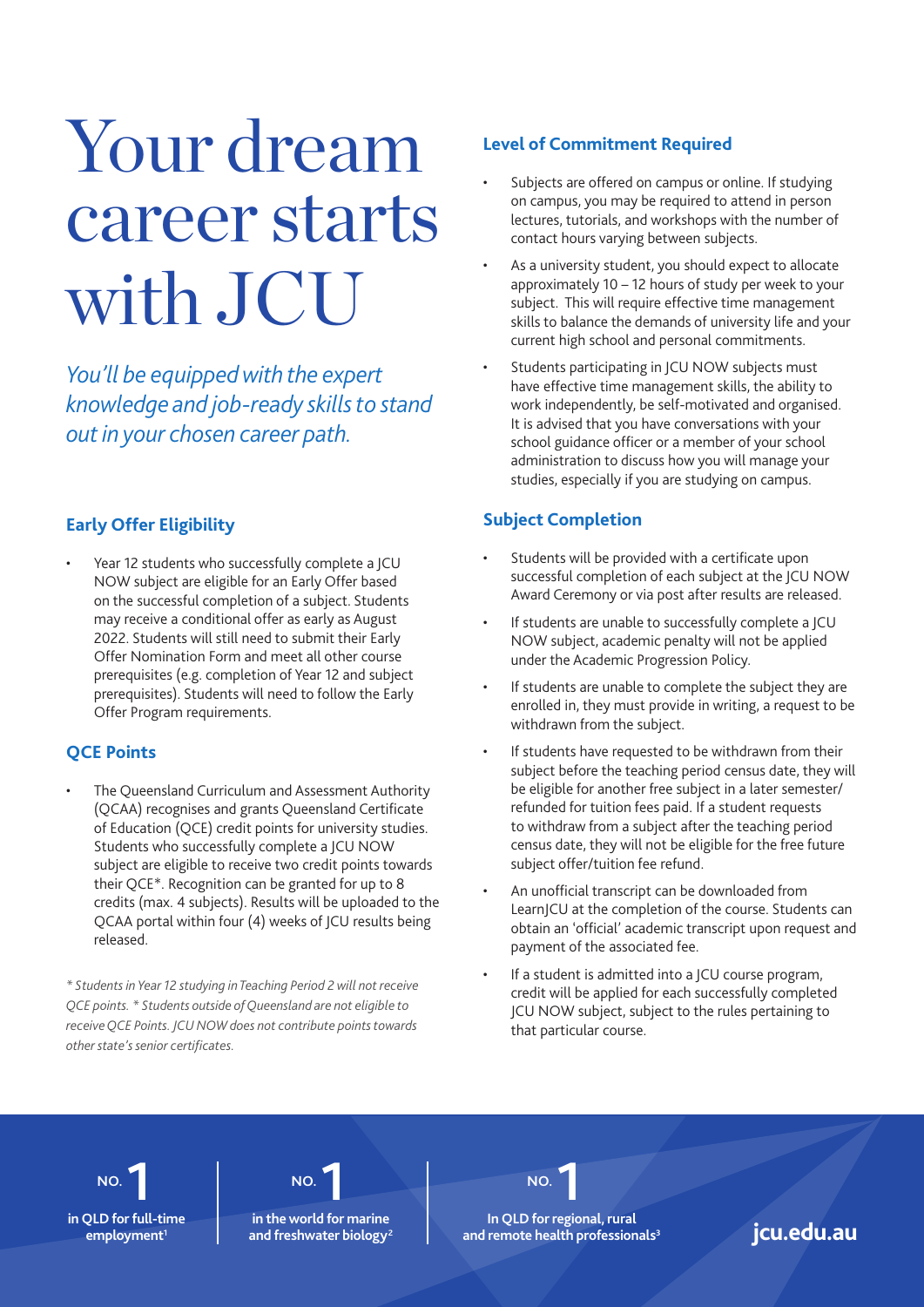### Your dream career starts with JCU

*You'll be equipped with the expert knowledge and job-ready skills to stand out in your chosen career path.*

#### **Early Offer Eligibility**

Year 12 students who successfully complete a JCU NOW subject are eligible for an Early Offer based on the successful completion of a subject. Students may receive a conditional offer as early as August 2022. Students will still need to submit their Early Offer Nomination Form and meet all other course prerequisites (e.g. completion of Year 12 and subject prerequisites). Students will need to follow the Early Offer Program requirements.

#### **QCE Points**

The Queensland Curriculum and Assessment Authority (QCAA) recognises and grants Queensland Certificate of Education (QCE) credit points for university studies. Students who successfully complete a JCU NOW subject are eligible to receive two credit points towards their QCE\*. Recognition can be granted for up to 8 credits (max. 4 subjects). Results will be uploaded to the QCAA portal within four (4) weeks of JCU results being released.

*\* Students in Year 12 studying in Teaching Period 2 will not receive QCE points. \* Students outside of Queensland are not eligible to receive QCE Points. JCU NOW does not contribute points towards other state's senior certificates.*

#### **Level of Commitment Required**

- Subjects are offered on campus or online. If studying on campus, you may be required to attend in person lectures, tutorials, and workshops with the number of contact hours varying between subjects.
- As a university student, you should expect to allocate approximately 10 – 12 hours of study per week to your subject. This will require effective time management skills to balance the demands of university life and your current high school and personal commitments.
- Students participating in JCU NOW subjects must have effective time management skills, the ability to work independently, be self-motivated and organised. It is advised that you have conversations with your school guidance officer or a member of your school administration to discuss how you will manage your studies, especially if you are studying on campus.

#### **Subject Completion**

- Students will be provided with a certificate upon successful completion of each subject at the JCU NOW Award Ceremony or via post after results are released.
- If students are unable to successfully complete a ICU NOW subject, academic penalty will not be applied under the Academic Progression Policy.
- If students are unable to complete the subject they are enrolled in, they must provide in writing, a request to be withdrawn from the subject.
- If students have requested to be withdrawn from their subject before the teaching period census date, they will be eligible for another free subject in a later semester/ refunded for tuition fees paid. If a student requests to withdraw from a subject after the teaching period census date, they will not be eligible for the free future subject offer/tuition fee refund.
- An unofficial transcript can be downloaded from LearnJCU at the completion of the course. Students can obtain an 'official' academic transcript upon request and payment of the associated fee.
- If a student is admitted into a JCU course program, credit will be applied for each successfully completed JCU NOW subject, subject to the rules pertaining to that particular course.

**NO. 1 in QLD for full-time**  **NO. 1**

**in the world for marine**  and freshwater biology<sup>2</sup>

**NO. 1 In QLD for regional, rural**  employment<sup>1</sup> and freshwater biology<sup>2</sup> and remote health professionals<sup>3</sup> jcu.edu.au